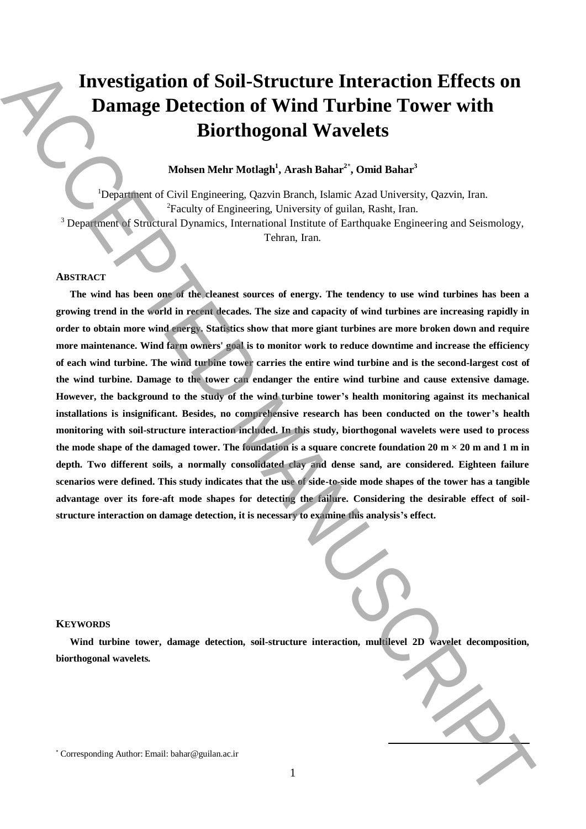# **Investigation of Soil-Structure Interaction Effects on Damage Detection of Wind Turbine Tower with Biorthogonal Wavelets**

## **Mohsen Mehr Motlagh<sup>1</sup> , Arash Bahar<sup>2</sup>**\* **, Omid Bahar<sup>3</sup>**

<sup>1</sup>Department of Civil Engineering, Qazvin Branch, Islamic Azad University, Qazvin, Iran. <sup>2</sup>Faculty of Engineering, University of guilan, Rasht, Iran. <sup>3</sup> Department of Structural Dynamics, International Institute of Earthquake Engineering and Seismology,

Tehran, Iran.

#### **ABSTRACT**

**The wind has been one of the cleanest sources of energy. The tendency to use wind turbines has been a growing trend in the world in recent decades. The size and capacity of wind turbines are increasing rapidly in order to obtain more wind energy. Statistics show that more giant turbines are more broken down and require more maintenance. Wind farm owners' goal is to monitor work to reduce downtime and increase the efficiency of each wind turbine. The wind turbine tower carries the entire wind turbine and is the second-largest cost of the wind turbine. Damage to the tower can endanger the entire wind turbine and cause extensive damage. However, the background to the study of the wind turbine tower's health monitoring against its mechanical installations is insignificant. Besides, no comprehensive research has been conducted on the tower's health monitoring with soil-structure interaction included. In this study, biorthogonal wavelets were used to process**  the mode shape of the damaged tower. The foundation is a square concrete foundation  $20 \text{ m} \times 20 \text{ m}$  and  $1 \text{ m}$  in **depth. Two different soils, a normally consolidated clay and dense sand, are considered. Eighteen failure scenarios were defined. This study indicates that the use of side-to-side mode shapes of the tower has a tangible advantage over its fore-aft mode shapes for detecting the failure. Considering the desirable effect of soilstructure interaction on damage detection, it is necessary to examine this analysis's effect.** Investigation of Soil-Structure Interaction effects on<br>Barmage Detection of Wind Turbine Tower with<br>Biorrhogonal Wavelets<br>Simple details and the Muskel Authority of the Muskel Authority of the Muskel and<br>the Muskel Author

#### **KEYWORDS**

**Wind turbine tower, damage detection, soil-structure interaction, multilevel 2D wavelet decomposition, biorthogonal wavelets.**

**.**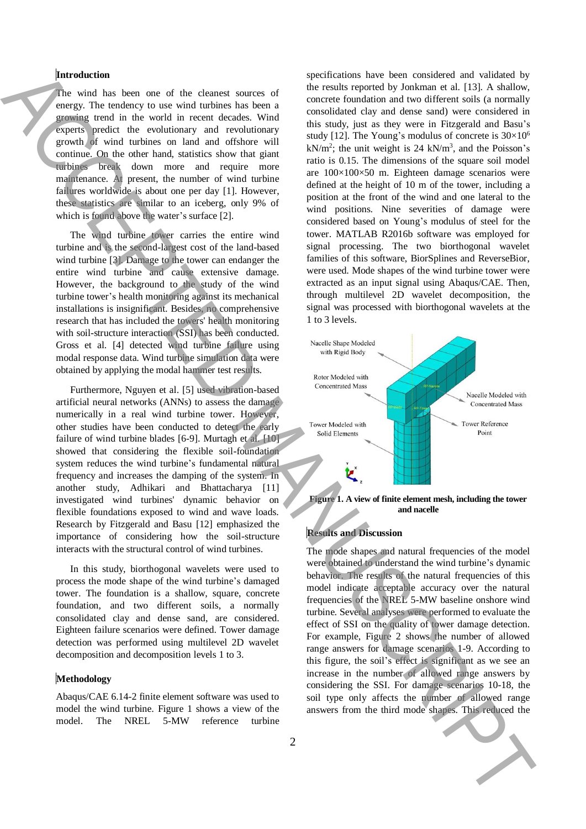#### **Introduction**

The wind has been one of the cleanest sources of energy. The tendency to use wind turbines has been a growing trend in the world in recent decades. Wind experts predict the evolutionary and revolutionary growth of wind turbines on land and offshore will continue. On the other hand, statistics show that giant turbines break down more and require more maintenance. At present, the number of wind turbine failures worldwide is about one per day [1]. However, these statistics are similar to an iceberg, only 9% of which is found above the water's surface [2].

The wind turbine tower carries the entire wind turbine and is the second-largest cost of the land-based wind turbine [3]. Damage to the tower can endanger the entire wind turbine and cause extensive damage. However, the background to the study of the wind turbine tower's health monitoring against its mechanical installations is insignificant. Besides, no comprehensive research that has included the towers' health monitoring with soil-structure interaction (SSI) has been conducted. Gross et al. [4] detected wind turbine failure using modal response data. Wind turbine simulation data were obtained by applying the modal hammer test results.

Furthermore, Nguyen et al. [5] used vibration-based artificial neural networks (ANNs) to assess the damage numerically in a real wind turbine tower. However, other studies have been conducted to detect the early failure of wind turbine blades [6-9]. Murtagh et al. [10] showed that considering the flexible soil-foundation system reduces the wind turbine's fundamental natural frequency and increases the damping of the system. In another study, Adhikari and Bhattacharya [11] investigated wind turbines' dynamic behavior on flexible foundations exposed to wind and wave loads. Research by Fitzgerald and Basu [12] emphasized the importance of considering how the soil-structure interacts with the structural control of wind turbines.

In this study, biorthogonal wavelets were used to process the mode shape of the wind turbine's damaged tower. The foundation is a shallow, square, concrete foundation, and two different soils, a normally consolidated clay and dense sand, are considered. Eighteen failure scenarios were defined. Tower damage detection was performed using multilevel 2D wavelet decomposition and decomposition levels 1 to 3.

#### **Methodology**

Abaqus/CAE 6.14-2 finite element software was used to model the wind turbine. Figure 1 shows a view of the model. The NREL 5-MW reference turbine

specifications have been considered and validated by the results reported by Jonkman et al. [13]. A shallow, concrete foundation and two different soils (a normally consolidated clay and dense sand) were considered in this study, just as they were in Fitzgerald and Basu's study [12]. The Young's modulus of concrete is  $30\times10^6$  $kN/m^2$ ; the unit weight is 24 kN/m<sup>3</sup>, and the Poisson's ratio is 0.15. The dimensions of the square soil model are 100×100×50 m. Eighteen damage scenarios were defined at the height of 10 m of the tower, including a position at the front of the wind and one lateral to the wind positions. Nine severities of damage were considered based on Young's modulus of steel for the tower. MATLAB R2016b software was employed for signal processing. The two biorthogonal wavelet families of this software, BiorSplines and ReverseBior, were used. Mode shapes of the wind turbine tower were extracted as an input signal using Abaqus/CAE. Then, through multilevel 2D wavelet decomposition, the signal was processed with biorthogonal wavelets at the 1 to 3 levels. **between the collective of the collective of the shapes.** The collective of the collective of the Collective of the Collective of the Collective of the Collective of the Collective of the Collective of the Collective of t



**Figure 1. A view of finite element mesh, including the tower and nacelle**

#### **Results and Discussion**

The mode shapes and natural frequencies of the model were obtained to understand the wind turbine's dynamic behavior. The results of the natural frequencies of this model indicate acceptable accuracy over the natural frequencies of the NREL 5-MW baseline onshore wind turbine. Several analyses were performed to evaluate the effect of SSI on the quality of tower damage detection. For example, Figure 2 shows the number of allowed range answers for damage scenarios 1-9. According to this figure, the soil's effect is significant as we see an increase in the number of allowed range answers by considering the SSI. For damage scenarios 10-18, the soil type only affects the number of allowed range